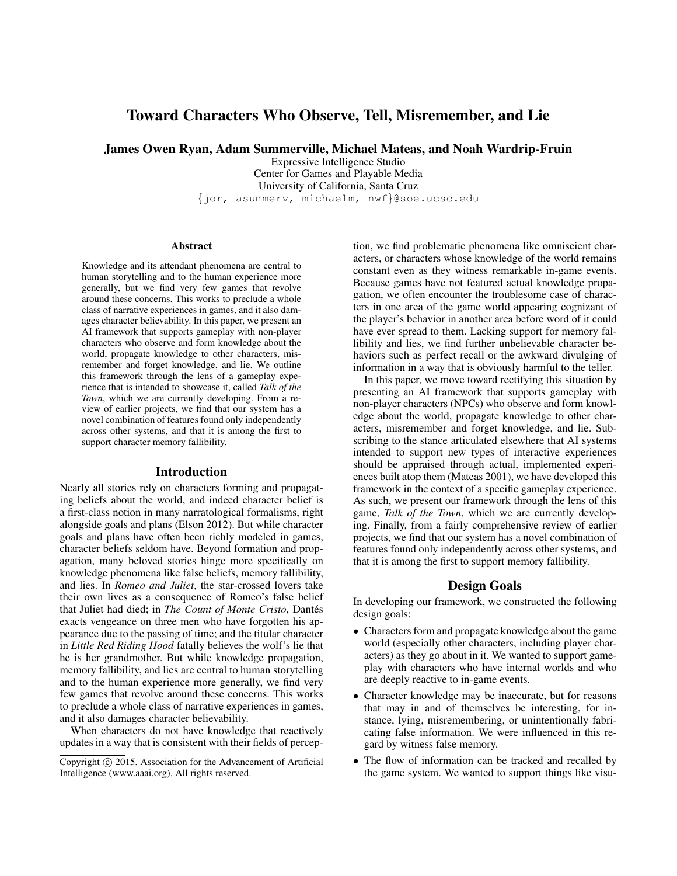# Toward Characters Who Observe, Tell, Misremember, and Lie

James Owen Ryan, Adam Summerville, Michael Mateas, and Noah Wardrip-Fruin

Expressive Intelligence Studio Center for Games and Playable Media University of California, Santa Cruz {jor, asummerv, michaelm, nwf}@soe.ucsc.edu

#### Abstract

Knowledge and its attendant phenomena are central to human storytelling and to the human experience more generally, but we find very few games that revolve around these concerns. This works to preclude a whole class of narrative experiences in games, and it also damages character believability. In this paper, we present an AI framework that supports gameplay with non-player characters who observe and form knowledge about the world, propagate knowledge to other characters, misremember and forget knowledge, and lie. We outline this framework through the lens of a gameplay experience that is intended to showcase it, called *Talk of the Town*, which we are currently developing. From a review of earlier projects, we find that our system has a novel combination of features found only independently across other systems, and that it is among the first to support character memory fallibility.

#### Introduction

Nearly all stories rely on characters forming and propagating beliefs about the world, and indeed character belief is a first-class notion in many narratological formalisms, right alongside goals and plans (Elson 2012). But while character goals and plans have often been richly modeled in games, character beliefs seldom have. Beyond formation and propagation, many beloved stories hinge more specifically on knowledge phenomena like false beliefs, memory fallibility, and lies. In *Romeo and Juliet*, the star-crossed lovers take their own lives as a consequence of Romeo's false belief that Juliet had died; in *The Count of Monte Cristo*, Dantés exacts vengeance on three men who have forgotten his appearance due to the passing of time; and the titular character in *Little Red Riding Hood* fatally believes the wolf's lie that he is her grandmother. But while knowledge propagation, memory fallibility, and lies are central to human storytelling and to the human experience more generally, we find very few games that revolve around these concerns. This works to preclude a whole class of narrative experiences in games, and it also damages character believability.

When characters do not have knowledge that reactively updates in a way that is consistent with their fields of percep-

tion, we find problematic phenomena like omniscient characters, or characters whose knowledge of the world remains constant even as they witness remarkable in-game events. Because games have not featured actual knowledge propagation, we often encounter the troublesome case of characters in one area of the game world appearing cognizant of the player's behavior in another area before word of it could have ever spread to them. Lacking support for memory fallibility and lies, we find further unbelievable character behaviors such as perfect recall or the awkward divulging of information in a way that is obviously harmful to the teller.

In this paper, we move toward rectifying this situation by presenting an AI framework that supports gameplay with non-player characters (NPCs) who observe and form knowledge about the world, propagate knowledge to other characters, misremember and forget knowledge, and lie. Subscribing to the stance articulated elsewhere that AI systems intended to support new types of interactive experiences should be appraised through actual, implemented experiences built atop them (Mateas 2001), we have developed this framework in the context of a specific gameplay experience. As such, we present our framework through the lens of this game, *Talk of the Town*, which we are currently developing. Finally, from a fairly comprehensive review of earlier projects, we find that our system has a novel combination of features found only independently across other systems, and that it is among the first to support memory fallibility.

#### Design Goals

In developing our framework, we constructed the following design goals:

- Characters form and propagate knowledge about the game world (especially other characters, including player characters) as they go about in it. We wanted to support gameplay with characters who have internal worlds and who are deeply reactive to in-game events.
- Character knowledge may be inaccurate, but for reasons that may in and of themselves be interesting, for instance, lying, misremembering, or unintentionally fabricating false information. We were influenced in this regard by witness false memory.
- The flow of information can be tracked and recalled by the game system. We wanted to support things like visu-

Copyright  $\odot$  2015, Association for the Advancement of Artificial Intelligence (www.aaai.org). All rights reserved.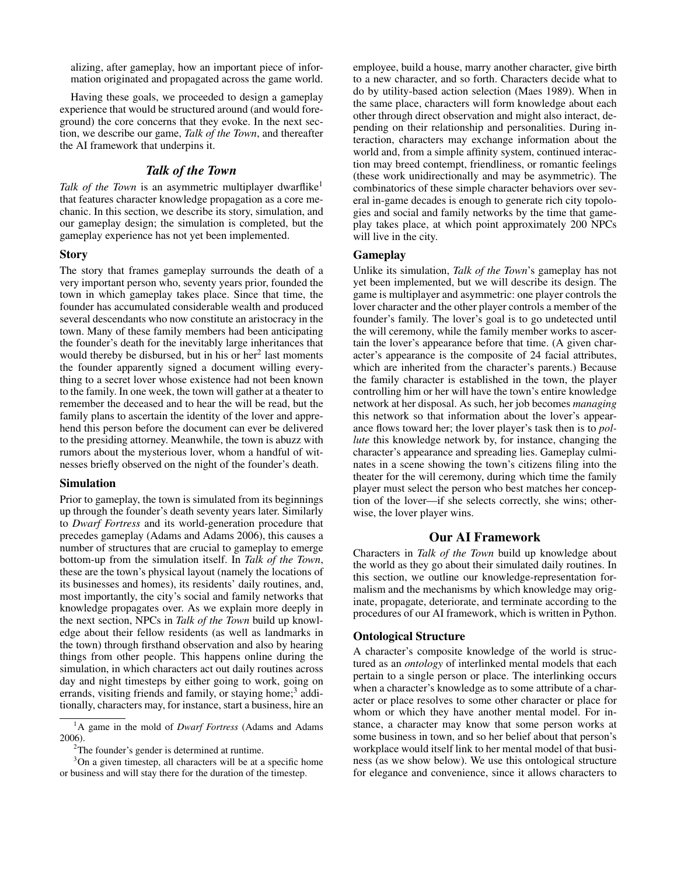alizing, after gameplay, how an important piece of information originated and propagated across the game world.

Having these goals, we proceeded to design a gameplay experience that would be structured around (and would foreground) the core concerns that they evoke. In the next section, we describe our game, *Talk of the Town*, and thereafter the AI framework that underpins it.

# *Talk of the Town*

*Talk of the Town* is an asymmetric multiplayer dwarflike<sup>1</sup> that features character knowledge propagation as a core mechanic. In this section, we describe its story, simulation, and our gameplay design; the simulation is completed, but the gameplay experience has not yet been implemented.

### **Story**

The story that frames gameplay surrounds the death of a very important person who, seventy years prior, founded the town in which gameplay takes place. Since that time, the founder has accumulated considerable wealth and produced several descendants who now constitute an aristocracy in the town. Many of these family members had been anticipating the founder's death for the inevitably large inheritances that would thereby be disbursed, but in his or her<sup>2</sup> last moments the founder apparently signed a document willing everything to a secret lover whose existence had not been known to the family. In one week, the town will gather at a theater to remember the deceased and to hear the will be read, but the family plans to ascertain the identity of the lover and apprehend this person before the document can ever be delivered to the presiding attorney. Meanwhile, the town is abuzz with rumors about the mysterious lover, whom a handful of witnesses briefly observed on the night of the founder's death.

#### Simulation

Prior to gameplay, the town is simulated from its beginnings up through the founder's death seventy years later. Similarly to *Dwarf Fortress* and its world-generation procedure that precedes gameplay (Adams and Adams 2006), this causes a number of structures that are crucial to gameplay to emerge bottom-up from the simulation itself. In *Talk of the Town*, these are the town's physical layout (namely the locations of its businesses and homes), its residents' daily routines, and, most importantly, the city's social and family networks that knowledge propagates over. As we explain more deeply in the next section, NPCs in *Talk of the Town* build up knowledge about their fellow residents (as well as landmarks in the town) through firsthand observation and also by hearing things from other people. This happens online during the simulation, in which characters act out daily routines across day and night timesteps by either going to work, going on errands, visiting friends and family, or staying home;<sup>3</sup> additionally, characters may, for instance, start a business, hire an

employee, build a house, marry another character, give birth to a new character, and so forth. Characters decide what to do by utility-based action selection (Maes 1989). When in the same place, characters will form knowledge about each other through direct observation and might also interact, depending on their relationship and personalities. During interaction, characters may exchange information about the world and, from a simple affinity system, continued interaction may breed contempt, friendliness, or romantic feelings (these work unidirectionally and may be asymmetric). The combinatorics of these simple character behaviors over several in-game decades is enough to generate rich city topologies and social and family networks by the time that gameplay takes place, at which point approximately 200 NPCs will live in the city.

## Gameplay

Unlike its simulation, *Talk of the Town*'s gameplay has not yet been implemented, but we will describe its design. The game is multiplayer and asymmetric: one player controls the lover character and the other player controls a member of the founder's family. The lover's goal is to go undetected until the will ceremony, while the family member works to ascertain the lover's appearance before that time. (A given character's appearance is the composite of 24 facial attributes, which are inherited from the character's parents.) Because the family character is established in the town, the player controlling him or her will have the town's entire knowledge network at her disposal. As such, her job becomes *managing* this network so that information about the lover's appearance flows toward her; the lover player's task then is to *pollute* this knowledge network by, for instance, changing the character's appearance and spreading lies. Gameplay culminates in a scene showing the town's citizens filing into the theater for the will ceremony, during which time the family player must select the person who best matches her conception of the lover—if she selects correctly, she wins; otherwise, the lover player wins.

## Our AI Framework

Characters in *Talk of the Town* build up knowledge about the world as they go about their simulated daily routines. In this section, we outline our knowledge-representation formalism and the mechanisms by which knowledge may originate, propagate, deteriorate, and terminate according to the procedures of our AI framework, which is written in Python.

#### Ontological Structure

A character's composite knowledge of the world is structured as an *ontology* of interlinked mental models that each pertain to a single person or place. The interlinking occurs when a character's knowledge as to some attribute of a character or place resolves to some other character or place for whom or which they have another mental model. For instance, a character may know that some person works at some business in town, and so her belief about that person's workplace would itself link to her mental model of that business (as we show below). We use this ontological structure for elegance and convenience, since it allows characters to

<sup>1</sup>A game in the mold of *Dwarf Fortress* (Adams and Adams 2006).

<sup>&</sup>lt;sup>2</sup>The founder's gender is determined at runtime.

<sup>&</sup>lt;sup>3</sup>On a given timestep, all characters will be at a specific home or business and will stay there for the duration of the timestep.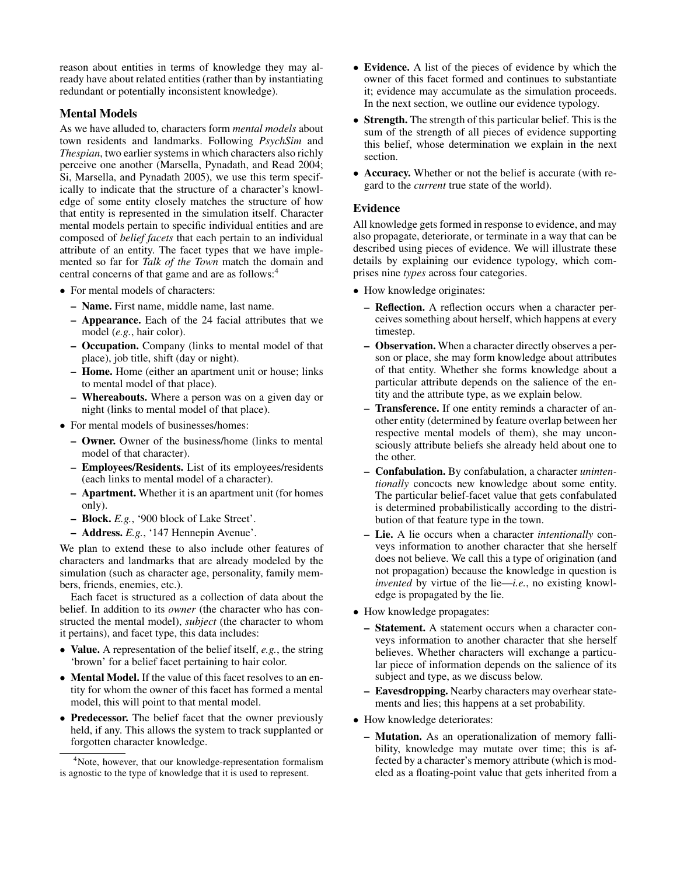reason about entities in terms of knowledge they may already have about related entities (rather than by instantiating redundant or potentially inconsistent knowledge).

# Mental Models

As we have alluded to, characters form *mental models* about town residents and landmarks. Following *PsychSim* and *Thespian*, two earlier systems in which characters also richly perceive one another (Marsella, Pynadath, and Read 2004; Si, Marsella, and Pynadath 2005), we use this term specifically to indicate that the structure of a character's knowledge of some entity closely matches the structure of how that entity is represented in the simulation itself. Character mental models pertain to specific individual entities and are composed of *belief facets* that each pertain to an individual attribute of an entity. The facet types that we have implemented so far for *Talk of the Town* match the domain and central concerns of that game and are as follows:<sup>4</sup>

- For mental models of characters:
	- Name. First name, middle name, last name.
	- Appearance. Each of the 24 facial attributes that we model (*e.g.*, hair color).
	- Occupation. Company (links to mental model of that place), job title, shift (day or night).
	- Home. Home (either an apartment unit or house; links to mental model of that place).
	- Whereabouts. Where a person was on a given day or night (links to mental model of that place).
- For mental models of businesses/homes:
	- Owner. Owner of the business/home (links to mental model of that character).
	- Employees/Residents. List of its employees/residents (each links to mental model of a character).
	- Apartment. Whether it is an apartment unit (for homes only).
	- Block. *E.g.*, '900 block of Lake Street'.
	- Address. *E.g.*, '147 Hennepin Avenue'.

We plan to extend these to also include other features of characters and landmarks that are already modeled by the simulation (such as character age, personality, family members, friends, enemies, etc.).

Each facet is structured as a collection of data about the belief. In addition to its *owner* (the character who has constructed the mental model), *subject* (the character to whom it pertains), and facet type, this data includes:

- Value. A representation of the belief itself, *e.g.*, the string 'brown' for a belief facet pertaining to hair color.
- **Mental Model.** If the value of this facet resolves to an entity for whom the owner of this facet has formed a mental model, this will point to that mental model.
- Predecessor. The belief facet that the owner previously held, if any. This allows the system to track supplanted or forgotten character knowledge.
- Evidence. A list of the pieces of evidence by which the owner of this facet formed and continues to substantiate it; evidence may accumulate as the simulation proceeds. In the next section, we outline our evidence typology.
- Strength. The strength of this particular belief. This is the sum of the strength of all pieces of evidence supporting this belief, whose determination we explain in the next section.
- Accuracy. Whether or not the belief is accurate (with regard to the *current* true state of the world).

#### Evidence

All knowledge gets formed in response to evidence, and may also propagate, deteriorate, or terminate in a way that can be described using pieces of evidence. We will illustrate these details by explaining our evidence typology, which comprises nine *types* across four categories.

- How knowledge originates:
	- Reflection. A reflection occurs when a character perceives something about herself, which happens at every timestep.
	- Observation. When a character directly observes a person or place, she may form knowledge about attributes of that entity. Whether she forms knowledge about a particular attribute depends on the salience of the entity and the attribute type, as we explain below.
	- Transference. If one entity reminds a character of another entity (determined by feature overlap between her respective mental models of them), she may unconsciously attribute beliefs she already held about one to the other.
	- Confabulation. By confabulation, a character *unintentionally* concocts new knowledge about some entity. The particular belief-facet value that gets confabulated is determined probabilistically according to the distribution of that feature type in the town.
	- Lie. A lie occurs when a character *intentionally* conveys information to another character that she herself does not believe. We call this a type of origination (and not propagation) because the knowledge in question is *invented* by virtue of the lie—*i.e.*, no existing knowledge is propagated by the lie.
- How knowledge propagates:
	- Statement. A statement occurs when a character conveys information to another character that she herself believes. Whether characters will exchange a particular piece of information depends on the salience of its subject and type, as we discuss below.
	- Eavesdropping. Nearby characters may overhear statements and lies; this happens at a set probability.
- How knowledge deteriorates:
	- Mutation. As an operationalization of memory fallibility, knowledge may mutate over time; this is affected by a character's memory attribute (which is modeled as a floating-point value that gets inherited from a

<sup>&</sup>lt;sup>4</sup>Note, however, that our knowledge-representation formalism is agnostic to the type of knowledge that it is used to represent.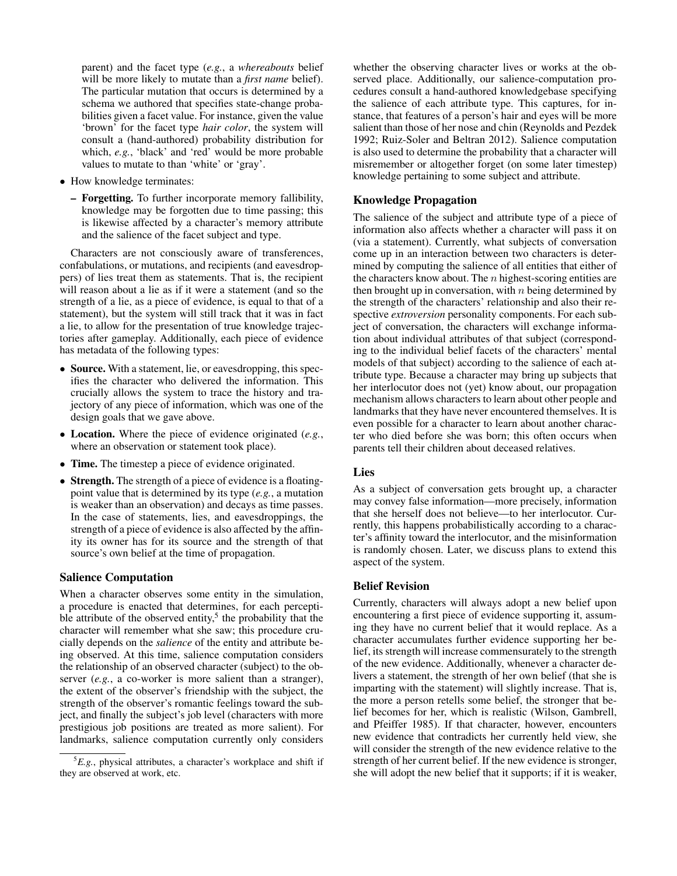parent) and the facet type (*e.g.*, a *whereabouts* belief will be more likely to mutate than a *first name* belief). The particular mutation that occurs is determined by a schema we authored that specifies state-change probabilities given a facet value. For instance, given the value 'brown' for the facet type *hair color*, the system will consult a (hand-authored) probability distribution for which, *e.g.*, 'black' and 'red' would be more probable values to mutate to than 'white' or 'gray'.

- How knowledge terminates:
	- Forgetting. To further incorporate memory fallibility, knowledge may be forgotten due to time passing; this is likewise affected by a character's memory attribute and the salience of the facet subject and type.

Characters are not consciously aware of transferences, confabulations, or mutations, and recipients (and eavesdroppers) of lies treat them as statements. That is, the recipient will reason about a lie as if it were a statement (and so the strength of a lie, as a piece of evidence, is equal to that of a statement), but the system will still track that it was in fact a lie, to allow for the presentation of true knowledge trajectories after gameplay. Additionally, each piece of evidence has metadata of the following types:

- **Source.** With a statement, lie, or eavesdropping, this specifies the character who delivered the information. This crucially allows the system to trace the history and trajectory of any piece of information, which was one of the design goals that we gave above.
- Location. Where the piece of evidence originated (*e.g.*, where an observation or statement took place).
- **Time.** The timestep a piece of evidence originated.
- Strength. The strength of a piece of evidence is a floatingpoint value that is determined by its type (*e.g.*, a mutation is weaker than an observation) and decays as time passes. In the case of statements, lies, and eavesdroppings, the strength of a piece of evidence is also affected by the affinity its owner has for its source and the strength of that source's own belief at the time of propagation.

## Salience Computation

When a character observes some entity in the simulation, a procedure is enacted that determines, for each perceptible attribute of the observed entity,<sup>5</sup> the probability that the character will remember what she saw; this procedure crucially depends on the *salience* of the entity and attribute being observed. At this time, salience computation considers the relationship of an observed character (subject) to the observer (*e.g.*, a co-worker is more salient than a stranger), the extent of the observer's friendship with the subject, the strength of the observer's romantic feelings toward the subject, and finally the subject's job level (characters with more prestigious job positions are treated as more salient). For landmarks, salience computation currently only considers

whether the observing character lives or works at the observed place. Additionally, our salience-computation procedures consult a hand-authored knowledgebase specifying the salience of each attribute type. This captures, for instance, that features of a person's hair and eyes will be more salient than those of her nose and chin (Reynolds and Pezdek 1992; Ruiz-Soler and Beltran 2012). Salience computation is also used to determine the probability that a character will misremember or altogether forget (on some later timestep) knowledge pertaining to some subject and attribute.

# Knowledge Propagation

The salience of the subject and attribute type of a piece of information also affects whether a character will pass it on (via a statement). Currently, what subjects of conversation come up in an interaction between two characters is determined by computing the salience of all entities that either of the characters know about. The  $n$  highest-scoring entities are then brought up in conversation, with  $n$  being determined by the strength of the characters' relationship and also their respective *extroversion* personality components. For each subject of conversation, the characters will exchange information about individual attributes of that subject (corresponding to the individual belief facets of the characters' mental models of that subject) according to the salience of each attribute type. Because a character may bring up subjects that her interlocutor does not (yet) know about, our propagation mechanism allows characters to learn about other people and landmarks that they have never encountered themselves. It is even possible for a character to learn about another character who died before she was born; this often occurs when parents tell their children about deceased relatives.

## Lies

As a subject of conversation gets brought up, a character may convey false information—more precisely, information that she herself does not believe—to her interlocutor. Currently, this happens probabilistically according to a character's affinity toward the interlocutor, and the misinformation is randomly chosen. Later, we discuss plans to extend this aspect of the system.

#### Belief Revision

Currently, characters will always adopt a new belief upon encountering a first piece of evidence supporting it, assuming they have no current belief that it would replace. As a character accumulates further evidence supporting her belief, its strength will increase commensurately to the strength of the new evidence. Additionally, whenever a character delivers a statement, the strength of her own belief (that she is imparting with the statement) will slightly increase. That is, the more a person retells some belief, the stronger that belief becomes for her, which is realistic (Wilson, Gambrell, and Pfeiffer 1985). If that character, however, encounters new evidence that contradicts her currently held view, she will consider the strength of the new evidence relative to the strength of her current belief. If the new evidence is stronger, she will adopt the new belief that it supports; if it is weaker,

 ${}^5E.g.,$  physical attributes, a character's workplace and shift if they are observed at work, etc.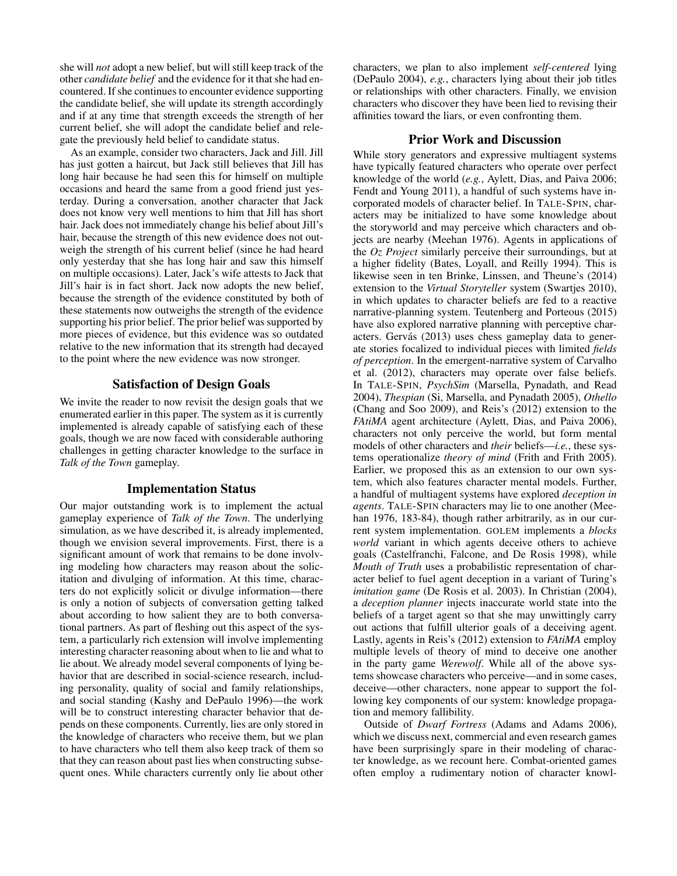she will *not* adopt a new belief, but will still keep track of the other *candidate belief* and the evidence for it that she had encountered. If she continues to encounter evidence supporting the candidate belief, she will update its strength accordingly and if at any time that strength exceeds the strength of her current belief, she will adopt the candidate belief and relegate the previously held belief to candidate status.

As an example, consider two characters, Jack and Jill. Jill has just gotten a haircut, but Jack still believes that Jill has long hair because he had seen this for himself on multiple occasions and heard the same from a good friend just yesterday. During a conversation, another character that Jack does not know very well mentions to him that Jill has short hair. Jack does not immediately change his belief about Jill's hair, because the strength of this new evidence does not outweigh the strength of his current belief (since he had heard only yesterday that she has long hair and saw this himself on multiple occasions). Later, Jack's wife attests to Jack that Jill's hair is in fact short. Jack now adopts the new belief, because the strength of the evidence constituted by both of these statements now outweighs the strength of the evidence supporting his prior belief. The prior belief was supported by more pieces of evidence, but this evidence was so outdated relative to the new information that its strength had decayed to the point where the new evidence was now stronger.

## Satisfaction of Design Goals

We invite the reader to now revisit the design goals that we enumerated earlier in this paper. The system as it is currently implemented is already capable of satisfying each of these goals, though we are now faced with considerable authoring challenges in getting character knowledge to the surface in *Talk of the Town* gameplay.

#### Implementation Status

Our major outstanding work is to implement the actual gameplay experience of *Talk of the Town*. The underlying simulation, as we have described it, is already implemented, though we envision several improvements. First, there is a significant amount of work that remains to be done involving modeling how characters may reason about the solicitation and divulging of information. At this time, characters do not explicitly solicit or divulge information—there is only a notion of subjects of conversation getting talked about according to how salient they are to both conversational partners. As part of fleshing out this aspect of the system, a particularly rich extension will involve implementing interesting character reasoning about when to lie and what to lie about. We already model several components of lying behavior that are described in social-science research, including personality, quality of social and family relationships, and social standing (Kashy and DePaulo 1996)—the work will be to construct interesting character behavior that depends on these components. Currently, lies are only stored in the knowledge of characters who receive them, but we plan to have characters who tell them also keep track of them so that they can reason about past lies when constructing subsequent ones. While characters currently only lie about other

characters, we plan to also implement *self-centered* lying (DePaulo 2004), *e.g.*, characters lying about their job titles or relationships with other characters. Finally, we envision characters who discover they have been lied to revising their affinities toward the liars, or even confronting them.

## Prior Work and Discussion

While story generators and expressive multiagent systems have typically featured characters who operate over perfect knowledge of the world (*e.g.*, Aylett, Dias, and Paiva 2006; Fendt and Young 2011), a handful of such systems have incorporated models of character belief. In TALE-SPIN, characters may be initialized to have some knowledge about the storyworld and may perceive which characters and objects are nearby (Meehan 1976). Agents in applications of the *Oz Project* similarly perceive their surroundings, but at a higher fidelity (Bates, Loyall, and Reilly 1994). This is likewise seen in ten Brinke, Linssen, and Theune's (2014) extension to the *Virtual Storyteller* system (Swartjes 2010), in which updates to character beliefs are fed to a reactive narrative-planning system. Teutenberg and Porteous (2015) have also explored narrative planning with perceptive characters. Gervás (2013) uses chess gameplay data to generate stories focalized to individual pieces with limited *fields of perception*. In the emergent-narrative system of Carvalho et al. (2012), characters may operate over false beliefs. In TALE-SPIN, *PsychSim* (Marsella, Pynadath, and Read 2004), *Thespian* (Si, Marsella, and Pynadath 2005), *Othello* (Chang and Soo 2009), and Reis's (2012) extension to the *FAtiMA* agent architecture (Aylett, Dias, and Paiva 2006), characters not only perceive the world, but form mental models of other characters and *their* beliefs—*i.e.*, these systems operationalize *theory of mind* (Frith and Frith 2005). Earlier, we proposed this as an extension to our own system, which also features character mental models. Further, a handful of multiagent systems have explored *deception in agents*. TALE-SPIN characters may lie to one another (Meehan 1976, 183-84), though rather arbitrarily, as in our current system implementation. GOLEM implements a *blocks world* variant in which agents deceive others to achieve goals (Castelfranchi, Falcone, and De Rosis 1998), while *Mouth of Truth* uses a probabilistic representation of character belief to fuel agent deception in a variant of Turing's *imitation game* (De Rosis et al. 2003). In Christian (2004), a *deception planner* injects inaccurate world state into the beliefs of a target agent so that she may unwittingly carry out actions that fulfill ulterior goals of a deceiving agent. Lastly, agents in Reis's (2012) extension to *FAtiMA* employ multiple levels of theory of mind to deceive one another in the party game *Werewolf*. While all of the above systems showcase characters who perceive—and in some cases, deceive—other characters, none appear to support the following key components of our system: knowledge propagation and memory fallibility.

Outside of *Dwarf Fortress* (Adams and Adams 2006), which we discuss next, commercial and even research games have been surprisingly spare in their modeling of character knowledge, as we recount here. Combat-oriented games often employ a rudimentary notion of character knowl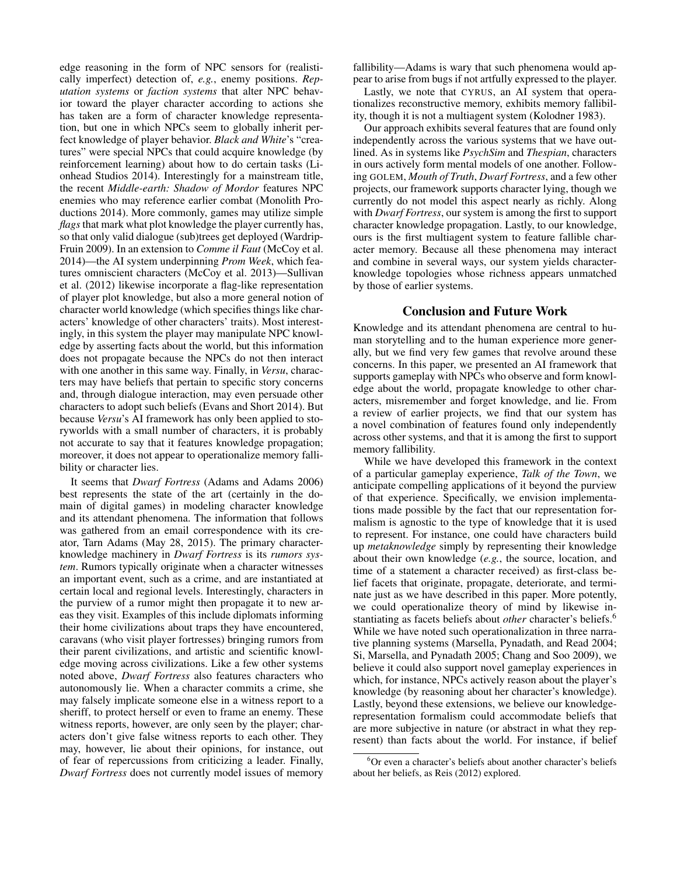edge reasoning in the form of NPC sensors for (realistically imperfect) detection of, *e.g.*, enemy positions. *Reputation systems* or *faction systems* that alter NPC behavior toward the player character according to actions she has taken are a form of character knowledge representation, but one in which NPCs seem to globally inherit perfect knowledge of player behavior. *Black and White*'s "creatures" were special NPCs that could acquire knowledge (by reinforcement learning) about how to do certain tasks (Lionhead Studios 2014). Interestingly for a mainstream title, the recent *Middle-earth: Shadow of Mordor* features NPC enemies who may reference earlier combat (Monolith Productions 2014). More commonly, games may utilize simple *flags*that mark what plot knowledge the player currently has, so that only valid dialogue (sub)trees get deployed (Wardrip-Fruin 2009). In an extension to *Comme il Faut* (McCoy et al. 2014)—the AI system underpinning *Prom Week*, which features omniscient characters (McCoy et al. 2013)—Sullivan et al. (2012) likewise incorporate a flag-like representation of player plot knowledge, but also a more general notion of character world knowledge (which specifies things like characters' knowledge of other characters' traits). Most interestingly, in this system the player may manipulate NPC knowledge by asserting facts about the world, but this information does not propagate because the NPCs do not then interact with one another in this same way. Finally, in *Versu*, characters may have beliefs that pertain to specific story concerns and, through dialogue interaction, may even persuade other characters to adopt such beliefs (Evans and Short 2014). But because *Versu*'s AI framework has only been applied to storyworlds with a small number of characters, it is probably not accurate to say that it features knowledge propagation; moreover, it does not appear to operationalize memory fallibility or character lies.

It seems that *Dwarf Fortress* (Adams and Adams 2006) best represents the state of the art (certainly in the domain of digital games) in modeling character knowledge and its attendant phenomena. The information that follows was gathered from an email correspondence with its creator, Tarn Adams (May 28, 2015). The primary characterknowledge machinery in *Dwarf Fortress* is its *rumors system*. Rumors typically originate when a character witnesses an important event, such as a crime, and are instantiated at certain local and regional levels. Interestingly, characters in the purview of a rumor might then propagate it to new areas they visit. Examples of this include diplomats informing their home civilizations about traps they have encountered, caravans (who visit player fortresses) bringing rumors from their parent civilizations, and artistic and scientific knowledge moving across civilizations. Like a few other systems noted above, *Dwarf Fortress* also features characters who autonomously lie. When a character commits a crime, she may falsely implicate someone else in a witness report to a sheriff, to protect herself or even to frame an enemy. These witness reports, however, are only seen by the player; characters don't give false witness reports to each other. They may, however, lie about their opinions, for instance, out of fear of repercussions from criticizing a leader. Finally, *Dwarf Fortress* does not currently model issues of memory fallibility—Adams is wary that such phenomena would appear to arise from bugs if not artfully expressed to the player.

Lastly, we note that CYRUS, an AI system that operationalizes reconstructive memory, exhibits memory fallibility, though it is not a multiagent system (Kolodner 1983).

Our approach exhibits several features that are found only independently across the various systems that we have outlined. As in systems like *PsychSim* and *Thespian*, characters in ours actively form mental models of one another. Following GOLEM, *Mouth of Truth*, *Dwarf Fortress*, and a few other projects, our framework supports character lying, though we currently do not model this aspect nearly as richly. Along with *Dwarf Fortress*, our system is among the first to support character knowledge propagation. Lastly, to our knowledge, ours is the first multiagent system to feature fallible character memory. Because all these phenomena may interact and combine in several ways, our system yields characterknowledge topologies whose richness appears unmatched by those of earlier systems.

# Conclusion and Future Work

Knowledge and its attendant phenomena are central to human storytelling and to the human experience more generally, but we find very few games that revolve around these concerns. In this paper, we presented an AI framework that supports gameplay with NPCs who observe and form knowledge about the world, propagate knowledge to other characters, misremember and forget knowledge, and lie. From a review of earlier projects, we find that our system has a novel combination of features found only independently across other systems, and that it is among the first to support memory fallibility.

While we have developed this framework in the context of a particular gameplay experience, *Talk of the Town*, we anticipate compelling applications of it beyond the purview of that experience. Specifically, we envision implementations made possible by the fact that our representation formalism is agnostic to the type of knowledge that it is used to represent. For instance, one could have characters build up *metaknowledge* simply by representing their knowledge about their own knowledge (*e.g.*, the source, location, and time of a statement a character received) as first-class belief facets that originate, propagate, deteriorate, and terminate just as we have described in this paper. More potently, we could operationalize theory of mind by likewise instantiating as facets beliefs about *other* character's beliefs.<sup>6</sup> While we have noted such operationalization in three narrative planning systems (Marsella, Pynadath, and Read 2004; Si, Marsella, and Pynadath 2005; Chang and Soo 2009), we believe it could also support novel gameplay experiences in which, for instance, NPCs actively reason about the player's knowledge (by reasoning about her character's knowledge). Lastly, beyond these extensions, we believe our knowledgerepresentation formalism could accommodate beliefs that are more subjective in nature (or abstract in what they represent) than facts about the world. For instance, if belief

<sup>6</sup>Or even a character's beliefs about another character's beliefs about her beliefs, as Reis (2012) explored.